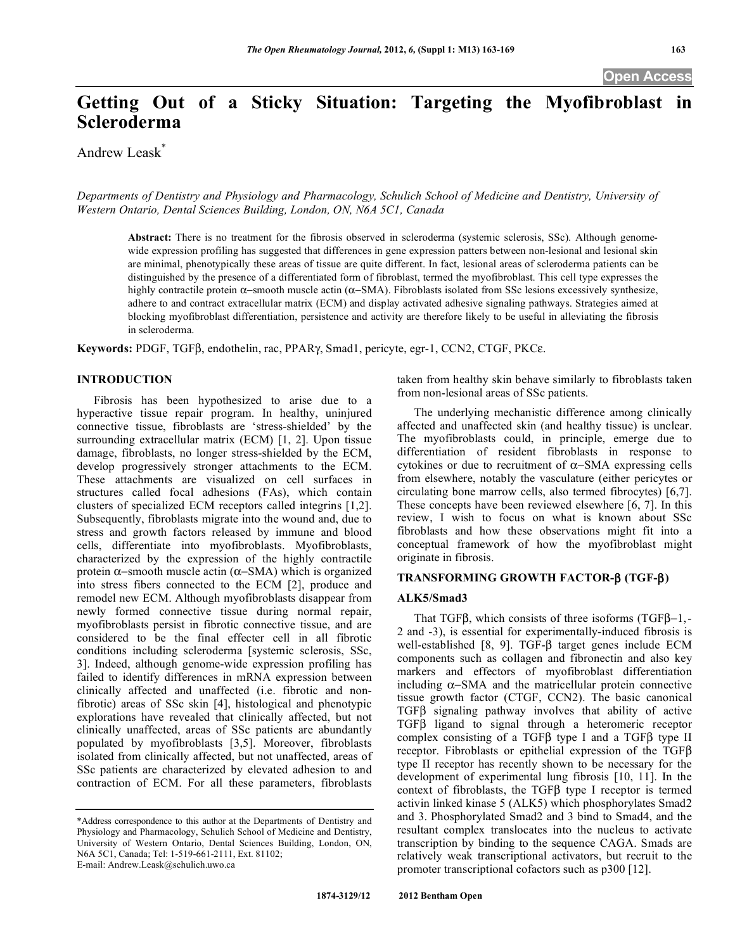**Open Access** 

# **Getting Out of a Sticky Situation: Targeting the Myofibroblast in Scleroderma**

Andrew Leask\*

*Departments of Dentistry and Physiology and Pharmacology, Schulich School of Medicine and Dentistry, University of Western Ontario, Dental Sciences Building, London, ON, N6A 5C1, Canada* 

**Abstract:** There is no treatment for the fibrosis observed in scleroderma (systemic sclerosis, SSc). Although genomewide expression profiling has suggested that differences in gene expression patters between non-lesional and lesional skin are minimal, phenotypically these areas of tissue are quite different. In fact, lesional areas of scleroderma patients can be distinguished by the presence of a differentiated form of fibroblast, termed the myofibroblast. This cell type expresses the highly contractile protein  $\alpha$ -smooth muscle actin ( $\alpha$ -SMA). Fibroblasts isolated from SSc lesions excessively synthesize, adhere to and contract extracellular matrix (ECM) and display activated adhesive signaling pathways. Strategies aimed at blocking myofibroblast differentiation, persistence and activity are therefore likely to be useful in alleviating the fibrosis in scleroderma.

Keywords: PDGF, TGFß, endothelin, rac, PPAR $\gamma$ , Smad1, pericyte, egr-1, CCN2, CTGF, PKC $\varepsilon$ .

# **INTRODUCTION**

 Fibrosis has been hypothesized to arise due to a hyperactive tissue repair program. In healthy, uninjured connective tissue, fibroblasts are 'stress-shielded' by the surrounding extracellular matrix (ECM) [1, 2]. Upon tissue damage, fibroblasts, no longer stress-shielded by the ECM, develop progressively stronger attachments to the ECM. These attachments are visualized on cell surfaces in structures called focal adhesions (FAs), which contain clusters of specialized ECM receptors called integrins [1,2]. Subsequently, fibroblasts migrate into the wound and, due to stress and growth factors released by immune and blood cells, differentiate into myofibroblasts. Myofibroblasts, characterized by the expression of the highly contractile protein  $\alpha$ -smooth muscle actin ( $\alpha$ -SMA) which is organized into stress fibers connected to the ECM [2], produce and remodel new ECM. Although myofibroblasts disappear from newly formed connective tissue during normal repair, myofibroblasts persist in fibrotic connective tissue, and are considered to be the final effecter cell in all fibrotic conditions including scleroderma [systemic sclerosis, SSc, 3]. Indeed, although genome-wide expression profiling has failed to identify differences in mRNA expression between clinically affected and unaffected (i.e. fibrotic and nonfibrotic) areas of SSc skin [4], histological and phenotypic explorations have revealed that clinically affected, but not clinically unaffected, areas of SSc patients are abundantly populated by myofibroblasts [3,5]. Moreover, fibroblasts isolated from clinically affected, but not unaffected, areas of SSc patients are characterized by elevated adhesion to and contraction of ECM. For all these parameters, fibroblasts

taken from healthy skin behave similarly to fibroblasts taken from non-lesional areas of SSc patients.

 The underlying mechanistic difference among clinically affected and unaffected skin (and healthy tissue) is unclear. The myofibroblasts could, in principle, emerge due to differentiation of resident fibroblasts in response to cytokines or due to recruitment of  $\alpha$ -SMA expressing cells from elsewhere, notably the vasculature (either pericytes or circulating bone marrow cells, also termed fibrocytes) [6,7]. These concepts have been reviewed elsewhere [6, 7]. In this review, I wish to focus on what is known about SSc fibroblasts and how these observations might fit into a conceptual framework of how the myofibroblast might originate in fibrosis.

# **TRANSFORMING GROWTH FACTOR- (TGF-)**

# **ALK5/Smad3**

That TGF $\beta$ , which consists of three isoforms (TGF $\beta$ –1,-2 and -3), is essential for experimentally-induced fibrosis is well-established  $[8, 9]$ . TGF- $\beta$  target genes include ECM components such as collagen and fibronectin and also key markers and effectors of myofibroblast differentiation including  $\alpha$ -SMA and the matricellular protein connective tissue growth factor (CTGF, CCN2). The basic canonical  $TGF\beta$  signaling pathway involves that ability of active  $TGF\beta$  ligand to signal through a heteromeric receptor complex consisting of a  $TGF\beta$  type I and a  $TGF\beta$  type II receptor. Fibroblasts or epithelial expression of the TGF type II receptor has recently shown to be necessary for the development of experimental lung fibrosis [10, 11]. In the context of fibroblasts, the  $TGF\beta$  type I receptor is termed activin linked kinase 5 (ALK5) which phosphorylates Smad2 and 3. Phosphorylated Smad2 and 3 bind to Smad4, and the resultant complex translocates into the nucleus to activate transcription by binding to the sequence CAGA. Smads are relatively weak transcriptional activators, but recruit to the promoter transcriptional cofactors such as p300 [12].

<sup>\*</sup>Address correspondence to this author at the Departments of Dentistry and Physiology and Pharmacology, Schulich School of Medicine and Dentistry, University of Western Ontario, Dental Sciences Building, London, ON, N6A 5C1, Canada; Tel: 1-519-661-2111, Ext. 81102; E-mail: Andrew.Leask@schulich.uwo.ca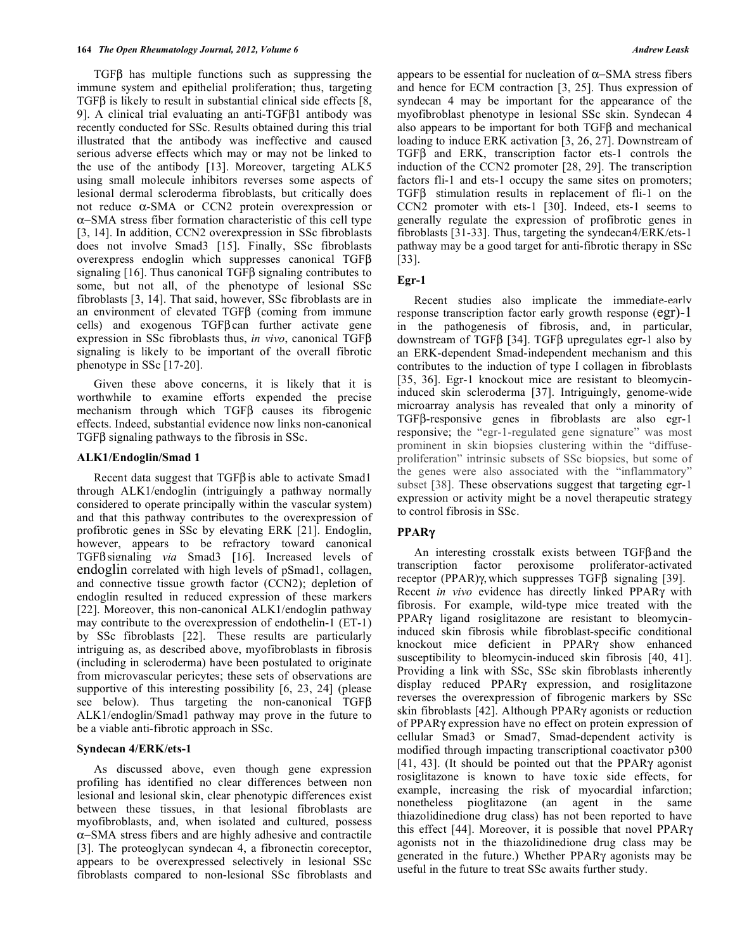TGFB has multiple functions such as suppressing the immune system and epithelial proliferation; thus, targeting  $TGF\beta$  is likely to result in substantial clinical side effects  $[8, 1]$ 9]. A clinical trial evaluating an anti-TGF $\beta$ 1 antibody was recently conducted for SSc. Results obtained during this trial illustrated that the antibody was ineffective and caused serious adverse effects which may or may not be linked to the use of the antibody [13]. Moreover, targeting ALK5 using small molecule inhibitors reverses some aspects of lesional dermal scleroderma fibroblasts, but critically does not reduce  $\alpha$ -SMA or CCN2 protein overexpression or -SMA stress fiber formation characteristic of this cell type [3, 14]. In addition, CCN2 overexpression in SSc fibroblasts does not involve Smad3 [15]. Finally, SSc fibroblasts overexpress endoglin which suppresses canonical  $TGF\beta$ signaling  $[16]$ . Thus canonical TGF $\beta$  signaling contributes to some, but not all, of the phenotype of lesional SSc fibroblasts [3, 14]. That said, however, SSc fibroblasts are in an environment of elevated TGF $\beta$  (coming from immune cells) and exogenous  $TGF\beta can$  further activate gene expression in SSc fibroblasts thus, *in vivo*, canonical TGF signaling is likely to be important of the overall fibrotic phenotype in SSc [17-20].

 Given these above concerns, it is likely that it is worthwhile to examine efforts expended the precise mechanism through which  $TGF\beta$  causes its fibrogenic effects. Indeed, substantial evidence now links non-canonical  $TGF\beta$  signaling pathways to the fibrosis in SSc.

# **ALK1/Endoglin/Smad 1**

Recent data suggest that  $TGFB$  is able to activate Smad1 through ALK1/endoglin (intriguingly a pathway normally considered to operate principally within the vascular system) and that this pathway contributes to the overexpression of profibrotic genes in SSc by elevating ERK [21]. Endoglin, however, appears to be refractory toward canonical TGFB signaling *via* Smad3 [16]. Increased levels of endoglin correlated with high levels of pSmad1, collagen, and connective tissue growth factor (CCN2); depletion of endoglin resulted in reduced expression of these markers [22]. Moreover, this non-canonical ALK1/endoglin pathway may contribute to the overexpression of endothelin-1 (ET-1) by SSc fibroblasts [22]. These results are particularly intriguing as, as described above, myofibroblasts in fibrosis (including in scleroderma) have been postulated to originate from microvascular pericytes; these sets of observations are supportive of this interesting possibility [6, 23, 24] (please see below). Thus targeting the non-canonical  $TGF\beta$ ALK1/endoglin/Smad1 pathway may prove in the future to be a viable anti-fibrotic approach in SSc.

#### **Syndecan 4/ERK/ets-1**

 As discussed above, even though gene expression profiling has identified no clear differences between non lesional and lesional skin, clear phenotypic differences exist between these tissues, in that lesional fibroblasts are myofibroblasts, and, when isolated and cultured, possess -SMA stress fibers and are highly adhesive and contractile [3]. The proteoglycan syndecan 4, a fibronectin coreceptor, appears to be overexpressed selectively in lesional SSc fibroblasts compared to non-lesional SSc fibroblasts and

appears to be essential for nucleation of  $\alpha$ -SMA stress fibers and hence for ECM contraction [3, 25]. Thus expression of syndecan 4 may be important for the appearance of the myofibroblast phenotype in lesional SSc skin. Syndecan 4 also appears to be important for both  $TGF\beta$  and mechanical loading to induce ERK activation [3, 26, 27]. Downstream of  $TGF\beta$  and ERK, transcription factor ets-1 controls the induction of the CCN2 promoter [28, 29]. The transcription factors fli-1 and ets-1 occupy the same sites on promoters; TGFB stimulation results in replacement of fli-1 on the CCN2 promoter with ets-1 [30]. Indeed, ets-1 seems to generally regulate the expression of profibrotic genes in fibroblasts [31-33]. Thus, targeting the syndecan4/ERK/ets-1 pathway may be a good target for anti-fibrotic therapy in SSc [33].

# **Egr-1**

 Recent studies also implicate the immediate-early response transcription factor early growth response (egr)-1 in the pathogenesis of fibrosis, and, in particular, downstream of TGF $\beta$  [34]. TGF $\beta$  upregulates egr-1 also by an ERK-dependent Smad-independent mechanism and this contributes to the induction of type I collagen in fibroblasts [35, 36]. Egr-1 knockout mice are resistant to bleomycininduced skin scleroderma [37]. Intriguingly, genome-wide microarray analysis has revealed that only a minority of  $TGF\beta$ -responsive genes in fibroblasts are also egr-1 responsive; the "egr-1-regulated gene signature" was most prominent in skin biopsies clustering within the "diffuseproliferation" intrinsic subsets of SSc biopsies, but some of the genes were also associated with the "inflammatory" subset [38]. These observations suggest that targeting egr-1 expression or activity might be a novel therapeutic strategy to control fibrosis in SSc.

# **PPAR**

An interesting crosstalk exists between  $TGF\beta$  and the transcription factor peroxisome proliferator-activated receptor (PPAR) $\gamma$ , which suppresses TGF $\beta$  signaling [39]. Recent *in vivo* evidence has directly linked PPAR<sub>Y</sub> with fibrosis. For example, wild-type mice treated with the PPARY ligand rosiglitazone are resistant to bleomycininduced skin fibrosis while fibroblast-specific conditional knockout mice deficient in PPAR<sub>Y</sub> show enhanced susceptibility to bleomycin-induced skin fibrosis [40, 41]. Providing a link with SSc, SSc skin fibroblasts inherently display reduced  $PPAR\gamma$  expression, and rosiglitazone reverses the overexpression of fibrogenic markers by SSc skin fibroblasts [42]. Although PPAR $\gamma$  agonists or reduction of PPAR<sub>Y</sub> expression have no effect on protein expression of cellular Smad3 or Smad7, Smad-dependent activity is modified through impacting transcriptional coactivator p300 [41, 43]. (It should be pointed out that the PPAR $\gamma$  agonist rosiglitazone is known to have toxic side effects, for example, increasing the risk of myocardial infarction; nonetheless pioglitazone (an agent in the same thiazolidinedione drug class) has not been reported to have this effect [44]. Moreover, it is possible that novel  $PPAR\gamma$ agonists not in the thiazolidinedione drug class may be generated in the future.) Whether  $PPAR\gamma$  agonists may be useful in the future to treat SSc awaits further study.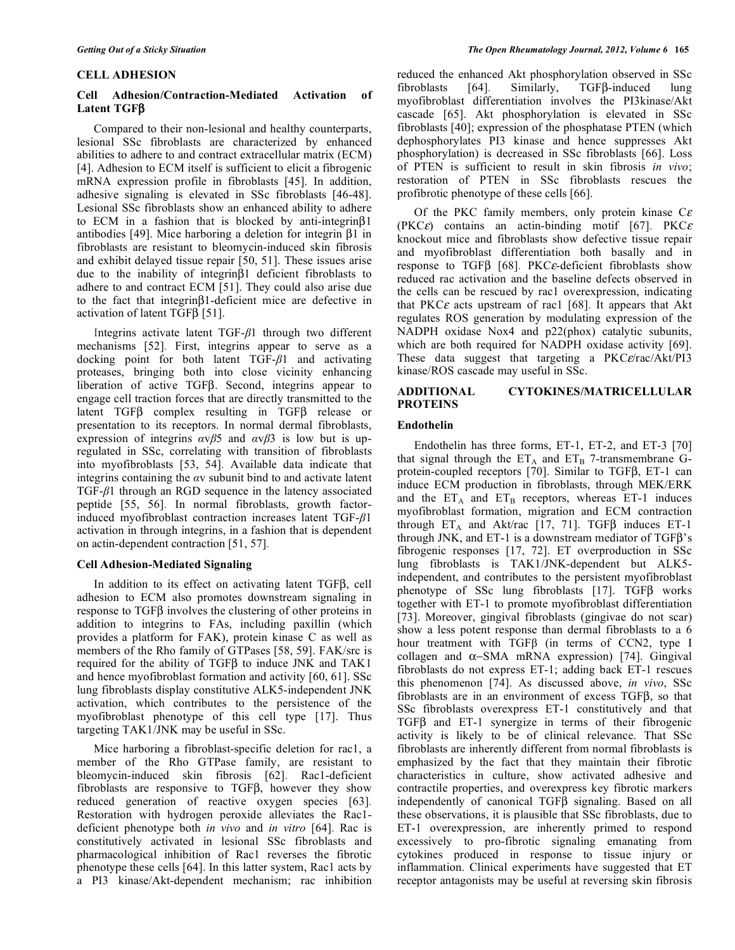# **CELL ADHESION**

# **Cell Adhesion/Contraction-Mediated Activation of Latent TGF**

 Compared to their non-lesional and healthy counterparts, lesional SSc fibroblasts are characterized by enhanced abilities to adhere to and contract extracellular matrix (ECM) [4]. Adhesion to ECM itself is sufficient to elicit a fibrogenic mRNA expression profile in fibroblasts [45]. In addition, adhesive signaling is elevated in SSc fibroblasts [46-48]. Lesional SSc fibroblasts show an enhanced ability to adhere to ECM in a fashion that is blocked by anti-integrin $\beta$ 1 antibodies [49]. Mice harboring a deletion for integrin  $\beta$ 1 in fibroblasts are resistant to bleomycin-induced skin fibrosis and exhibit delayed tissue repair [50, 51]. These issues arise due to the inability of integrin $\beta$ 1 deficient fibroblasts to adhere to and contract ECM [51]. They could also arise due to the fact that integrin $\beta$ 1-deficient mice are defective in activation of latent TGF $\beta$  [51].

Integrins activate latent  $TGF- $\beta$ 1 through two different$ mechanisms [52]. First, integrins appear to serve as a docking point for both latent  $TGF- $\beta$ 1$  and activating proteases, bringing both into close vicinity enhancing liberation of active TGFB. Second, integrins appear to engage cell traction forces that are directly transmitted to the latent  $TGF\beta$  complex resulting in  $TGF\beta$  release or presentation to its receptors. In normal dermal fibroblasts, expression of integrins  $\alpha \nu \beta$ 5 and  $\alpha \nu \beta$ 3 is low but is upregulated in SSc, correlating with transition of fibroblasts into myofibroblasts [53, 54]. Available data indicate that integrins containing the  $\alpha v$  subunit bind to and activate latent TGF- $\beta$ 1 through an RGD sequence in the latency associated peptide [55, 56]. In normal fibroblasts, growth factorinduced myofibroblast contraction increases latent  $TGF- $\beta$ 1$ activation in through integrins, in a fashion that is dependent on actin-dependent contraction [51, 57].

# **Cell Adhesion-Mediated Signaling**

In addition to its effect on activating latent TGFB, cell adhesion to ECM also promotes downstream signaling in response to TGFB involves the clustering of other proteins in addition to integrins to FAs, including paxillin (which provides a platform for FAK), protein kinase C as well as members of the Rho family of GTPases [58, 59]. FAK/src is required for the ability of TGF $\beta$  to induce JNK and TAK1 and hence myofibroblast formation and activity [60, 61]. SSc lung fibroblasts display constitutive ALK5-independent JNK activation, which contributes to the persistence of the myofibroblast phenotype of this cell type [17]. Thus targeting TAK1/JNK may be useful in SSc.

 Mice harboring a fibroblast-specific deletion for rac1, a member of the Rho GTPase family, are resistant to bleomycin-induced skin fibrosis [62]. Rac1-deficient fibroblasts are responsive to  $TGF\beta$ , however they show reduced generation of reactive oxygen species [63]. Restoration with hydrogen peroxide alleviates the Rac1 deficient phenotype both *in vivo* and *in vitro* [64]. Rac is constitutively activated in lesional SSc fibroblasts and pharmacological inhibition of Rac1 reverses the fibrotic phenotype these cells [64]. In this latter system, Rac1 acts by a PI3 kinase/Akt-dependent mechanism; rac inhibition

reduced the enhanced Akt phosphorylation observed in SSc fibroblasts  $[64]$ . Similarly, TGF $\beta$ -induced lung myofibroblast differentiation involves the PI3kinase/Akt cascade [65]. Akt phosphorylation is elevated in SSc fibroblasts [40]; expression of the phosphatase PTEN (which dephosphorylates PI3 kinase and hence suppresses Akt phosphorylation) is decreased in SSc fibroblasts [66]. Loss of PTEN is sufficient to result in skin fibrosis *in vivo*; restoration of PTEN in SSc fibroblasts rescues the profibrotic phenotype of these cells [66].

Of the PKC family members, only protein kinase  $C\epsilon$ (PKC $\varepsilon$ ) contains an actin-binding motif [67]. PKC $\varepsilon$ knockout mice and fibroblasts show defective tissue repair and myofibroblast differentiation both basally and in response to TGF $\beta$  [68]. PKC $\varepsilon$ -deficient fibroblasts show reduced rac activation and the baseline defects observed in the cells can be rescued by rac1 overexpression, indicating that PKC $\varepsilon$  acts upstream of rac1 [68]. It appears that Akt regulates ROS generation by modulating expression of the NADPH oxidase Nox4 and p22(phox) catalytic subunits, which are both required for NADPH oxidase activity [69]. These data suggest that targeting a  $PKC\epsilon/rac/At/PI3$ kinase/ROS cascade may useful in SSc.

# **ADDITIONAL CYTOKINES/MATRICELLULAR PROTEINS**

# **Endothelin**

 Endothelin has three forms, ET-1, ET-2, and ET-3 [70] that signal through the  $ET_A$  and  $ET_B$  7-transmembrane Gprotein-coupled receptors  $[70]$ . Similar to TGF $\beta$ , ET-1 can induce ECM production in fibroblasts, through MEK/ERK and the  $ET_A$  and  $ET_B$  receptors, whereas ET-1 induces myofibroblast formation, migration and ECM contraction through  $ET_A$  and Akt/rac [17, 71]. TGF $\beta$  induces ET-1 through JNK, and ET-1 is a downstream mediator of  $TGF\beta$ 's fibrogenic responses [17, 72]. ET overproduction in SSc lung fibroblasts is TAK1/JNK-dependent but ALK5 independent, and contributes to the persistent myofibroblast phenotype of SSc lung fibroblasts [17]. TGF $\beta$  works together with ET-1 to promote myofibroblast differentiation [73]. Moreover, gingival fibroblasts (gingivae do not scar) show a less potent response than dermal fibroblasts to a 6 hour treatment with TGFB (in terms of CCN2, type I collagen and  $\alpha$ -SMA mRNA expression) [74]. Gingival fibroblasts do not express ET-1; adding back ET-1 rescues this phenomenon [74]. As discussed above, *in vivo*, SSc fibroblasts are in an environment of excess  $TGF\beta$ , so that SSc fibroblasts overexpress ET-1 constitutively and that  $TGF\beta$  and ET-1 synergize in terms of their fibrogenic activity is likely to be of clinical relevance. That SSc fibroblasts are inherently different from normal fibroblasts is emphasized by the fact that they maintain their fibrotic characteristics in culture, show activated adhesive and contractile properties, and overexpress key fibrotic markers independently of canonical TGFB signaling. Based on all these observations, it is plausible that SSc fibroblasts, due to ET-1 overexpression, are inherently primed to respond excessively to pro-fibrotic signaling emanating from cytokines produced in response to tissue injury or inflammation. Clinical experiments have suggested that ET receptor antagonists may be useful at reversing skin fibrosis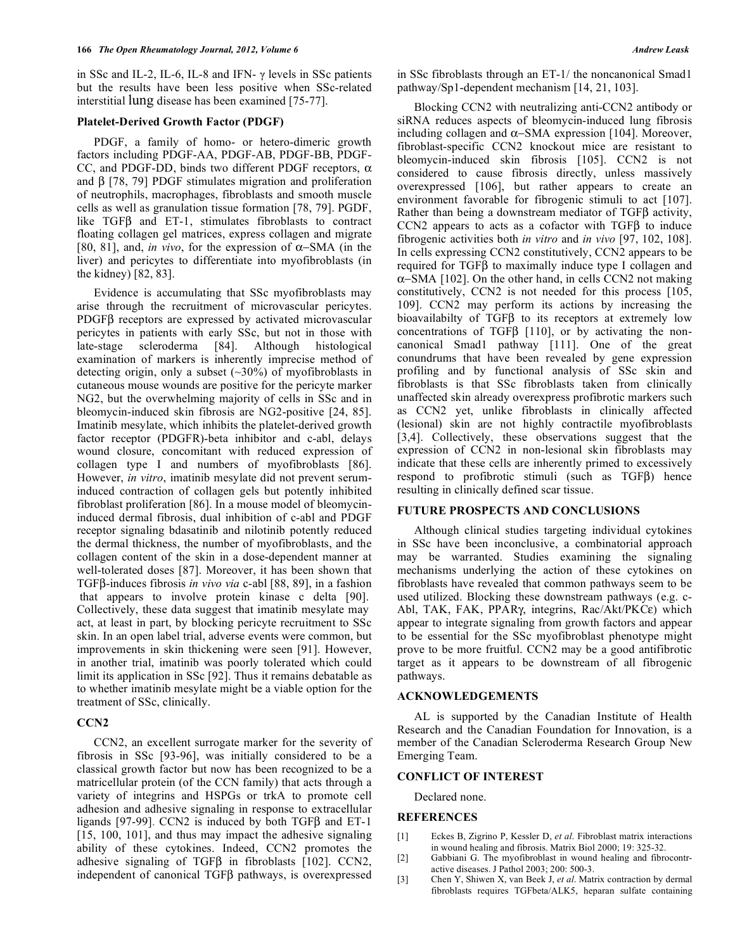in SSc and IL-2, IL-6, IL-8 and IFN- $\gamma$  levels in SSc patients but the results have been less positive when SSc-related interstitial lung disease has been examined [75-77].

#### **Platelet-Derived Growth Factor (PDGF)**

 PDGF, a family of homo- or hetero-dimeric growth factors including PDGF-AA, PDGF-AB, PDGF-BB, PDGF-CC, and PDGF-DD, binds two different PDGF receptors,  $\alpha$ and  $\beta$  [78, 79] PDGF stimulates migration and proliferation of neutrophils, macrophages, fibroblasts and smooth muscle cells as well as granulation tissue formation [78, 79]. PGDF, like  $TGF\beta$  and  $ET-1$ , stimulates fibroblasts to contract floating collagen gel matrices, express collagen and migrate [80, 81], and, *in vivo*, for the expression of  $\alpha$ -SMA (in the liver) and pericytes to differentiate into myofibroblasts (in the kidney) [82, 83].

 Evidence is accumulating that SSc myofibroblasts may arise through the recruitment of microvascular pericytes. PDGF<sub>B</sub> receptors are expressed by activated microvascular pericytes in patients with early SSc, but not in those with late-stage scleroderma [84]. Although histological examination of markers is inherently imprecise method of detecting origin, only a subset (~30%) of myofibroblasts in cutaneous mouse wounds are positive for the pericyte marker NG2, but the overwhelming majority of cells in SSc and in bleomycin-induced skin fibrosis are NG2-positive [24, 85]. Imatinib mesylate, which inhibits the platelet-derived growth factor receptor (PDGFR)-beta inhibitor and c-abl, delays wound closure, concomitant with reduced expression of collagen type I and numbers of myofibroblasts [86]. However, *in vitro*, imatinib mesylate did not prevent seruminduced contraction of collagen gels but potently inhibited fibroblast proliferation [86]. In a mouse model of bleomycininduced dermal fibrosis, dual inhibition of c-abl and PDGF receptor signaling bdasatinib and nilotinib potently reduced the dermal thickness, the number of myofibroblasts, and the collagen content of the skin in a dose-dependent manner at well-tolerated doses [87]. Moreover, it has been shown that TGFβ-induces fibrosis *in vivo via* c-abl [88, 89], in a fashion that appears to involve protein kinase c delta [90]. Collectively, these data suggest that imatinib mesylate may act, at least in part, by blocking pericyte recruitment to SSc skin. In an open label trial, adverse events were common, but improvements in skin thickening were seen [91]. However, in another trial, imatinib was poorly tolerated which could limit its application in SSc [92]. Thus it remains debatable as to whether imatinib mesylate might be a viable option for the treatment of SSc, clinically.

# **CCN2**

 CCN2, an excellent surrogate marker for the severity of fibrosis in SSc [93-96], was initially considered to be a classical growth factor but now has been recognized to be a matricellular protein (of the CCN family) that acts through a variety of integrins and HSPGs or trkA to promote cell adhesion and adhesive signaling in response to extracellular ligands [97-99]. CCN2 is induced by both  $TGF\beta$  and ET-1 [15, 100, 101], and thus may impact the adhesive signaling ability of these cytokines. Indeed, CCN2 promotes the adhesive signaling of TGF $\beta$  in fibroblasts [102]. CCN2, independent of canonical  $TGF\beta$  pathways, is overexpressed

in SSc fibroblasts through an ET-1/ the noncanonical Smad1 pathway/Sp1-dependent mechanism [14, 21, 103].

 Blocking CCN2 with neutralizing anti-CCN2 antibody or siRNA reduces aspects of bleomycin-induced lung fibrosis including collagen and  $\alpha$ -SMA expression [104]. Moreover, fibroblast-specific CCN2 knockout mice are resistant to bleomycin-induced skin fibrosis [105]. CCN2 is not considered to cause fibrosis directly, unless massively overexpressed [106], but rather appears to create an environment favorable for fibrogenic stimuli to act [107]. Rather than being a downstream mediator of  $TGF\beta$  activity,  $CCN2$  appears to acts as a cofactor with  $TGFB$  to induce fibrogenic activities both *in vitro* and *in vivo* [97, 102, 108]. In cells expressing CCN2 constitutively, CCN2 appears to be required for TGFB to maximally induce type I collagen and  $\alpha$ -SMA [102]. On the other hand, in cells CCN2 not making constitutively, CCN2 is not needed for this process [105, 109]. CCN2 may perform its actions by increasing the bioavailabilty of  $TGF\beta$  to its receptors at extremely low concentrations of TGF $\beta$  [110], or by activating the noncanonical Smad1 pathway [111]. One of the great conundrums that have been revealed by gene expression profiling and by functional analysis of SSc skin and fibroblasts is that SSc fibroblasts taken from clinically unaffected skin already overexpress profibrotic markers such as CCN2 yet, unlike fibroblasts in clinically affected (lesional) skin are not highly contractile myofibroblasts [3,4]. Collectively, these observations suggest that the expression of CCN2 in non-lesional skin fibroblasts may indicate that these cells are inherently primed to excessively respond to profibrotic stimuli (such as  $TGF\beta$ ) hence resulting in clinically defined scar tissue.

# **FUTURE PROSPECTS AND CONCLUSIONS**

 Although clinical studies targeting individual cytokines in SSc have been inconclusive, a combinatorial approach may be warranted. Studies examining the signaling mechanisms underlying the action of these cytokines on fibroblasts have revealed that common pathways seem to be used utilized. Blocking these downstream pathways (e.g. c-Abl, TAK, FAK, PPAR $\gamma$ , integrins, Rac/Akt/PKC $\varepsilon$ ) which appear to integrate signaling from growth factors and appear to be essential for the SSc myofibroblast phenotype might prove to be more fruitful. CCN2 may be a good antifibrotic target as it appears to be downstream of all fibrogenic pathways.

#### **ACKNOWLEDGEMENTS**

 AL is supported by the Canadian Institute of Health Research and the Canadian Foundation for Innovation, is a member of the Canadian Scleroderma Research Group New Emerging Team.

#### **CONFLICT OF INTEREST**

Declared none.

### **REFERENCES**

- [1] Eckes B, Zigrino P, Kessler D, *et al*. Fibroblast matrix interactions in wound healing and fibrosis. Matrix Biol 2000; 19: 325-32.
- [2] Gabbiani G. The myofibroblast in wound healing and fibrocontractive diseases. J Pathol 2003; 200: 500-3.
- [3] Chen Y, Shiwen X, van Beek J, *et al*. Matrix contraction by dermal fibroblasts requires TGFbeta/ALK5, heparan sulfate containing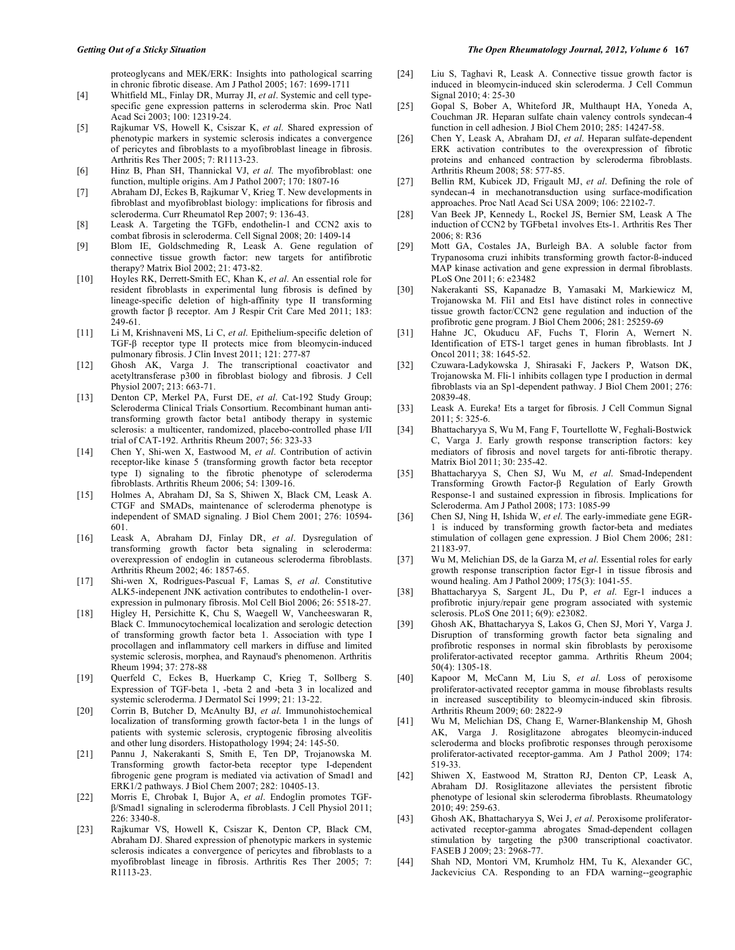proteoglycans and MEK/ERK: Insights into pathological scarring in chronic fibrotic disease. Am J Pathol 2005; 167: 1699-1711

- [4] Whitfield ML, Finlay DR, Murray JI, *et al*. Systemic and cell typespecific gene expression patterns in scleroderma skin. Proc Natl Acad Sci 2003; 100: 12319-24.
- [5] Rajkumar VS, Howell K, Csiszar K, *et al*. Shared expression of phenotypic markers in systemic sclerosis indicates a convergence of pericytes and fibroblasts to a myofibroblast lineage in fibrosis. Arthritis Res Ther 2005; 7: R1113-23.
- [6] Hinz B, Phan SH, Thannickal VJ, *et al.* The myofibroblast: one function, multiple origins. Am J Pathol 2007; 170: 1807-16
- [7] Abraham DJ, Eckes B, Rajkumar V, Krieg T. New developments in fibroblast and myofibroblast biology: implications for fibrosis and scleroderma. Curr Rheumatol Rep 2007; 9: 136-43.
- [8] Leask A. Targeting the TGFb, endothelin-1 and CCN2 axis to combat fibrosis in scleroderma. Cell Signal 2008; 20: 1409-14
- [9] Blom IE, Goldschmeding R, Leask A. Gene regulation of connective tissue growth factor: new targets for antifibrotic therapy? Matrix Biol 2002; 21: 473-82.
- [10] Hoyles RK, Derrett-Smith EC, Khan K, *et al*. An essential role for resident fibroblasts in experimental lung fibrosis is defined by lineage-specific deletion of high-affinity type II transforming growth factor  $\beta$  receptor. Am J Respir Crit Care Med 2011; 183: 249-61.
- [11] Li M, Krishnaveni MS, Li C, *et al*. Epithelium-specific deletion of  $TGF-\beta$  receptor type II protects mice from bleomycin-induced pulmonary fibrosis. J Clin Invest 2011; 121: 277-87
- [12] Ghosh AK, Varga J. The transcriptional coactivator and acetyltransferase p300 in fibroblast biology and fibrosis. J Cell Physiol 2007; 213: 663-71.
- [13] Denton CP, Merkel PA, Furst DE, et al. Cat-192 Study Group; Scleroderma Clinical Trials Consortium. Recombinant human antitransforming growth factor beta1 antibody therapy in systemic sclerosis: a multicenter, randomized, placebo-controlled phase I/II trial of CAT-192. Arthritis Rheum 2007; 56: 323-33
- [14] Chen Y, Shi-wen X, Eastwood M, *et al*. Contribution of activin receptor-like kinase 5 (transforming growth factor beta receptor type I) signaling to the fibrotic phenotype of scleroderma fibroblasts. Arthritis Rheum 2006; 54: 1309-16.
- [15] Holmes A, Abraham DJ, Sa S, Shiwen X, Black CM, Leask A. CTGF and SMADs, maintenance of scleroderma phenotype is independent of SMAD signaling. J Biol Chem 2001; 276: 10594- 601.
- [16] Leask A, Abraham DJ, Finlay DR, *et al*. Dysregulation of transforming growth factor beta signaling in scleroderma: overexpression of endoglin in cutaneous scleroderma fibroblasts. Arthritis Rheum 2002; 46: 1857-65.
- [17] Shi-wen X, Rodrigues-Pascual F, Lamas S, *et al*. Constitutive ALK5-indepenent JNK activation contributes to endothelin-1 overexpression in pulmonary fibrosis. Mol Cell Biol 2006; 26: 5518-27.
- [18] Higley H, Persichitte K, Chu S, Waegell W, Vancheeswaran R, Black C. Immunocytochemical localization and serologic detection of transforming growth factor beta 1. Association with type I procollagen and inflammatory cell markers in diffuse and limited systemic sclerosis, morphea, and Raynaud's phenomenon. Arthritis Rheum 1994; 37: 278-88
- [19] Querfeld C, Eckes B, Huerkamp C, Krieg T, Sollberg S. Expression of TGF-beta 1, -beta 2 and -beta 3 in localized and systemic scleroderma. J Dermatol Sci 1999; 21: 13-22.
- [20] Corrin B, Butcher D, McAnulty BJ, *et al*. Immunohistochemical localization of transforming growth factor-beta 1 in the lungs of patients with systemic sclerosis, cryptogenic fibrosing alveolitis and other lung disorders. Histopathology 1994; 24: 145-50.
- [21] Pannu J, Nakerakanti S, Smith E, Ten DP, Trojanowska M. Transforming growth factor-beta receptor type I-dependent fibrogenic gene program is mediated via activation of Smad1 and ERK1/2 pathways. J Biol Chem 2007; 282: 10405-13.
- [22] Morris E, Chrobak I, Bujor A, *et al*. Endoglin promotes TGF- /Smad1 signaling in scleroderma fibroblasts. J Cell Physiol 2011; 226: 3340-8.
- [23] Rajkumar VS, Howell K, Csiszar K, Denton CP, Black CM, Abraham DJ. Shared expression of phenotypic markers in systemic sclerosis indicates a convergence of pericytes and fibroblasts to a myofibroblast lineage in fibrosis. Arthritis Res Ther 2005; 7: R1113-23.
- [24] Liu S, Taghavi R, Leask A. Connective tissue growth factor is induced in bleomycin-induced skin scleroderma. J Cell Commun Signal 2010; 4: 25-30
- [25] Gopal S, Bober A, Whiteford JR, Multhaupt HA, Yoneda A, Couchman JR. Heparan sulfate chain valency controls syndecan-4 function in cell adhesion. J Biol Chem 2010; 285: 14247-58.
- [26] Chen Y, Leask A, Abraham DJ, *et al*. Heparan sulfate-dependent ERK activation contributes to the overexpression of fibrotic proteins and enhanced contraction by scleroderma fibroblasts. Arthritis Rheum 2008; 58: 577-85.
- [27] Bellin RM, Kubicek JD, Frigault MJ, *et al*. Defining the role of syndecan-4 in mechanotransduction using surface-modification approaches. Proc Natl Acad Sci USA 2009; 106: 22102-7.
- [28] Van Beek JP, Kennedy L, Rockel JS, Bernier SM, Leask A The induction of CCN2 by TGFbeta1 involves Ets-1. Arthritis Res Ther 2006; 8: R36
- [29] Mott GA, Costales JA, Burleigh BA. A soluble factor from Trypanosoma cruzi inhibits transforming growth factor-ß-induced MAP kinase activation and gene expression in dermal fibroblasts. PLoS One 2011; 6: e23482
- [30] Nakerakanti SS, Kapanadze B, Yamasaki M, Markiewicz M, Trojanowska M. Fli1 and Ets1 have distinct roles in connective tissue growth factor/CCN2 gene regulation and induction of the profibrotic gene program. J Biol Chem 2006; 281: 25259-69
- [31] Hahne JC, Okuducu AF, Fuchs T, Florin A, Wernert N. Identification of ETS-1 target genes in human fibroblasts. Int J Oncol 2011; 38: 1645-52.
- [32] Czuwara-Ladykowska J, Shirasaki F, Jackers P, Watson DK, Trojanowska M. Fli-1 inhibits collagen type I production in dermal fibroblasts via an Sp1-dependent pathway. J Biol Chem 2001; 276: 20839-48.
- [33] Leask A. Eureka! Ets a target for fibrosis. J Cell Commun Signal 2011; 5: 325-6.
- [34] Bhattacharyya S, Wu M, Fang F, Tourtellotte W, Feghali-Bostwick C, Varga J. Early growth response transcription factors: key mediators of fibrosis and novel targets for anti-fibrotic therapy. Matrix Biol 2011; 30: 235-42.
- [35] Bhattacharyya S, Chen SJ, Wu M, *et al*. Smad-Independent Transforming Growth Factor- $\beta$  Regulation of Early Growth Response-1 and sustained expression in fibrosis. Implications for Scleroderma. Am J Pathol 2008; 173: 1085-99
- [36] Chen SJ, Ning H, Ishida W, *et el*. The early-immediate gene EGR-1 is induced by transforming growth factor-beta and mediates stimulation of collagen gene expression. J Biol Chem 2006; 281: 21183-97.
- [37] Wu M, Melichian DS, de la Garza M, *et al*. Essential roles for early growth response transcription factor Egr-1 in tissue fibrosis and wound healing. Am J Pathol 2009; 175(3): 1041-55.
- [38] Bhattacharyya S, Sargent JL, Du P, *et al*. Egr-1 induces a profibrotic injury/repair gene program associated with systemic sclerosis. PLoS One 2011; 6(9): e23082.
- [39] Ghosh AK, Bhattacharyya S, Lakos G, Chen SJ, Mori Y, Varga J. Disruption of transforming growth factor beta signaling and profibrotic responses in normal skin fibroblasts by peroxisome proliferator-activated receptor gamma. Arthritis Rheum 2004; 50(4): 1305-18.
- [40] Kapoor M, McCann M, Liu S, *et al*. Loss of peroxisome proliferator-activated receptor gamma in mouse fibroblasts results in increased susceptibility to bleomycin-induced skin fibrosis. Arthritis Rheum 2009; 60: 2822-9
- [41] Wu M, Melichian DS, Chang E, Warner-Blankenship M, Ghosh AK, Varga J. Rosiglitazone abrogates bleomycin-induced scleroderma and blocks profibrotic responses through peroxisome proliferator-activated receptor-gamma. Am J Pathol 2009; 174: 519-33.
- [42] Shiwen X, Eastwood M, Stratton RJ, Denton CP, Leask A, Abraham DJ. Rosiglitazone alleviates the persistent fibrotic phenotype of lesional skin scleroderma fibroblasts. Rheumatology 2010; 49: 259-63.
- [43] Ghosh AK, Bhattacharyya S, Wei J, *et al*. Peroxisome proliferatoractivated receptor-gamma abrogates Smad-dependent collagen stimulation by targeting the p300 transcriptional coactivator. FASEB J 2009; 23: 2968-77.
- [44] Shah ND, Montori VM, Krumholz HM, Tu K, Alexander GC, Jackevicius CA. Responding to an FDA warning--geographic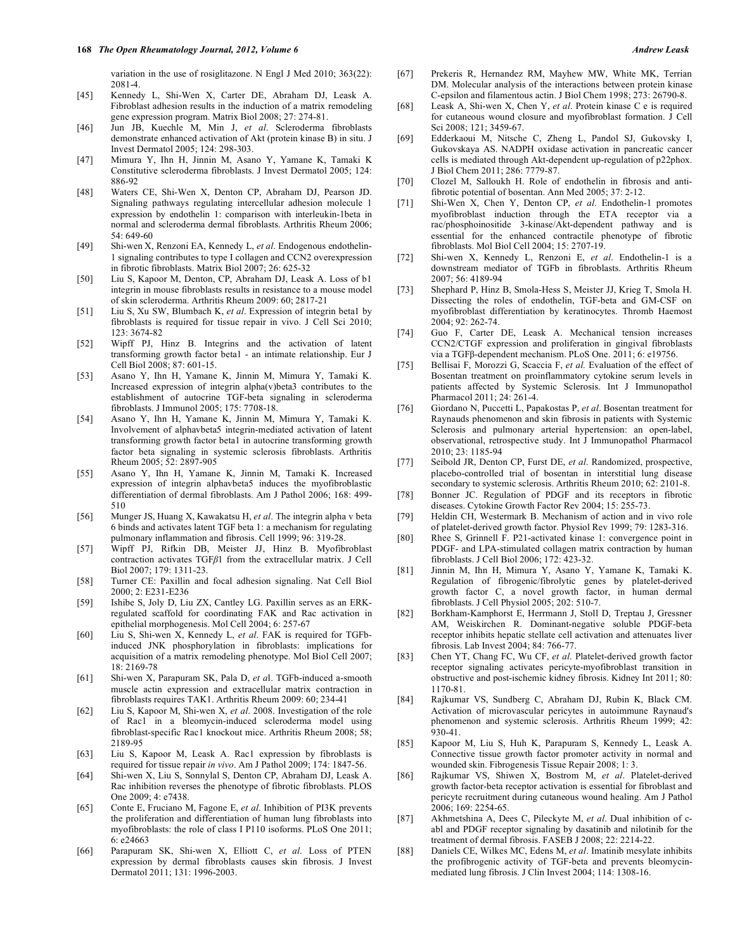- [45] Kennedy L, Shi-Wen X, Carter DE, Abraham DJ, Leask A. Fibroblast adhesion results in the induction of a matrix remodeling gene expression program. Matrix Biol 2008; 27: 274-81.
- [46] Jun JB, Kuechle M, Min J, *et al*. Scleroderma fibroblasts demonstrate enhanced activation of Akt (protein kinase B) in situ. J Invest Dermatol 2005; 124: 298-303.
- [47] Mimura Y, Ihn H, Jinnin M, Asano Y, Yamane K, Tamaki K Constitutive scleroderma fibroblasts. J Invest Dermatol 2005; 124: 886-92
- [48] Waters CE, Shi-Wen X, Denton CP, Abraham DJ, Pearson JD. Signaling pathways regulating intercellular adhesion molecule 1 expression by endothelin 1: comparison with interleukin-1beta in normal and scleroderma dermal fibroblasts. Arthritis Rheum 2006; 54: 649-60
- [49] Shi-wen X, Renzoni EA, Kennedy L, *et al*. Endogenous endothelin-1 signaling contributes to type I collagen and CCN2 overexpression in fibrotic fibroblasts. Matrix Biol 2007; 26: 625-32
- [50] Liu S, Kapoor M, Denton, CP, Abraham DJ, Leask A. Loss of b1 integrin in mouse fibroblasts results in resistance to a mouse model of skin scleroderma. Arthritis Rheum 2009: 60; 2817-21
- [51] Liu S, Xu SW, Blumbach K, *et al*. Expression of integrin beta1 by fibroblasts is required for tissue repair in vivo. J Cell Sci 2010; 123: 3674-82
- [52] Wipff PJ, Hinz B. Integrins and the activation of latent transforming growth factor beta1 - an intimate relationship. Eur J Cell Biol 2008; 87: 601-15.
- [53] Asano Y, Ihn H, Yamane K, Jinnin M, Mimura Y, Tamaki K. Increased expression of integrin alpha(v)beta3 contributes to the establishment of autocrine TGF-beta signaling in scleroderma fibroblasts. J Immunol 2005; 175: 7708-18.
- [54] Asano Y, Ihn H, Yamane K, Jinnin M, Mimura Y, Tamaki K. Involvement of alphavbeta5 integrin-mediated activation of latent transforming growth factor beta1 in autocrine transforming growth factor beta signaling in systemic sclerosis fibroblasts. Arthritis Rheum 2005; 52: 2897-905
- [55] Asano Y, Ihn H, Yamane K, Jinnin M, Tamaki K. Increased expression of integrin alphavbeta5 induces the myofibroblastic differentiation of dermal fibroblasts. Am J Pathol 2006; 168: 499- 510
- [56] Munger JS, Huang X, Kawakatsu H, *et al*. The integrin alpha v beta 6 binds and activates latent TGF beta 1: a mechanism for regulating pulmonary inflammation and fibrosis. Cell 1999; 96: 319-28.
- [57] Wipff PJ, Rifkin DB, Meister JJ, Hinz B. Myofibroblast contraction activates TGF $\beta$ 1 from the extracellular matrix. J Cell Biol 2007; 179: 1311-23.
- [58] Turner CE: Paxillin and focal adhesion signaling. Nat Cell Biol 2000; 2: E231-E236
- [59] Ishibe S, Joly D, Liu ZX, Cantley LG. Paxillin serves as an ERKregulated scaffold for coordinating FAK and Rac activation in epithelial morphogenesis. Mol Cell 2004; 6: 257-67
- [60] Liu S, Shi-wen X, Kennedy L, *et al*. FAK is required for TGFbinduced JNK phosphorylation in fibroblasts: implications for acquisition of a matrix remodeling phenotype. Mol Biol Cell 2007; 18: 2169-78
- [61] Shi-wen X, Parapuram SK, Pala D, *et a*l. TGFb-induced a-smooth muscle actin expression and extracellular matrix contraction in fibroblasts requires TAK1. Arthritis Rheum 2009: 60; 234-41
- [62] Liu S, Kapoor M, Shi-wen X, *et al*. 2008. Investigation of the role of Rac1 in a bleomycin-induced scleroderma model using fibroblast-specific Rac1 knockout mice. Arthritis Rheum 2008; 58; 2189-95
- [63] Liu S, Kapoor M, Leask A. Rac1 expression by fibroblasts is required for tissue repair *in vivo*. Am J Pathol 2009; 174: 1847-56.
- [64] Shi-wen X, Liu S, Sonnylal S, Denton CP, Abraham DJ, Leask A. Rac inhibition reverses the phenotype of fibrotic fibroblasts. PLOS One 2009; 4: e7438.
- [65] Conte E, Fruciano M, Fagone E, *et al*. Inhibition of PI3K prevents the proliferation and differentiation of human lung fibroblasts into myofibroblasts: the role of class I P110 isoforms. PLoS One 2011; 6: e24663
- [66] Parapuram SK, Shi-wen X, Elliott C, *et al*. Loss of PTEN expression by dermal fibroblasts causes skin fibrosis. J Invest Dermatol 2011; 131: 1996-2003.
- [67] Prekeris R, Hernandez RM, Mayhew MW, White MK, Terrian DM. Molecular analysis of the interactions between protein kinase C-epsilon and filamentous actin. J Biol Chem 1998; 273: 26790-8.
- [68] Leask A, Shi-wen X, Chen Y, *et al*. Protein kinase C e is required for cutaneous wound closure and myofibroblast formation. J Cell Sci 2008; 121; 3459-67.
- [69] Edderkaoui M, Nitsche C, Zheng L, Pandol SJ, Gukovsky I, Gukovskaya AS. NADPH oxidase activation in pancreatic cancer cells is mediated through Akt-dependent up-regulation of p22phox. J Biol Chem 2011; 286: 7779-87.
- [70] Clozel M, Salloukh H. Role of endothelin in fibrosis and antifibrotic potential of bosentan. Ann Med 2005; 37: 2-12.
- [71] Shi-Wen X, Chen Y, Denton CP, *et al*. Endothelin-1 promotes myofibroblast induction through the ETA receptor via a rac/phosphoinositide 3-kinase/Akt-dependent pathway and is essential for the enhanced contractile phenotype of fibrotic fibroblasts. Mol Biol Cell 2004; 15: 2707-19.
- [72] Shi-wen X, Kennedy L, Renzoni E, *et al*. Endothelin-1 is a downstream mediator of TGFb in fibroblasts. Arthritis Rheum 2007; 56: 4189-94
- [73] Shephard P, Hinz B, Smola-Hess S, Meister JJ, Krieg T, Smola H. Dissecting the roles of endothelin, TGF-beta and GM-CSF on myofibroblast differentiation by keratinocytes. Thromb Haemost 2004; 92: 262-74.
- [74] Guo F, Carter DE, Leask A. Mechanical tension increases CCN2/CTGF expression and proliferation in gingival fibroblasts via a TGFβ-dependent mechanism. PLoS One. 2011; 6: e19756.
- [75] Bellisai F, Morozzi G, Scaccia F, et al. Evaluation of the effect of Bosentan treatment on proinflammatory cytokine serum levels in patients affected by Systemic Sclerosis. Int J Immunopathol Pharmacol 2011; 24: 261-4.
- [76] Giordano N, Puccetti L, Papakostas P, *et al*. Bosentan treatment for Raynauds phenomenon and skin fibrosis in patients with Systemic Sclerosis and pulmonary arterial hypertension: an open-label, observational, retrospective study. Int J Immunopathol Pharmacol 2010; 23: 1185-94
- [77] Seibold JR, Denton CP, Furst DE, *et al*. Randomized, prospective, placebo-controlled trial of bosentan in interstitial lung disease secondary to systemic sclerosis. Arthritis Rheum 2010; 62: 2101-8.
- [78] Bonner JC. Regulation of PDGF and its receptors in fibrotic diseases. Cytokine Growth Factor Rev 2004; 15: 255-73.
- [79] Heldin CH, Westermark B. Mechanism of action and in vivo role of platelet-derived growth factor. Physiol Rev 1999; 79: 1283-316.
- [80] Rhee S, Grinnell F. P21-activated kinase 1: convergence point in PDGF- and LPA-stimulated collagen matrix contraction by human fibroblasts. J Cell Biol 2006; 172: 423-32.
- [81] Jinnin M, Ihn H, Mimura Y, Asano Y, Yamane K, Tamaki K. Regulation of fibrogenic/fibrolytic genes by platelet-derived growth factor C, a novel growth factor, in human dermal fibroblasts. J Cell Physiol 2005; 202: 510-7.
- [82] Borkham-Kamphorst E, Herrmann J, Stoll D, Treptau J, Gressner AM, Weiskirchen R. Dominant-negative soluble PDGF-beta receptor inhibits hepatic stellate cell activation and attenuates liver fibrosis. Lab Invest 2004; 84: 766-77.
- [83] Chen YT, Chang FC, Wu CF, *et al*. Platelet-derived growth factor receptor signaling activates pericyte-myofibroblast transition in obstructive and post-ischemic kidney fibrosis. Kidney Int 2011; 80: 1170-81.
- [84] Rajkumar VS, Sundberg C, Abraham DJ, Rubin K, Black CM. Activation of microvascular pericytes in autoimmune Raynaud's phenomenon and systemic sclerosis. Arthritis Rheum 1999; 42: 930-41.
- [85] Kapoor M, Liu S, Huh K, Parapuram S, Kennedy L, Leask A. Connective tissue growth factor promoter activity in normal and wounded skin. Fibrogenesis Tissue Repair 2008; 1: 3.
- [86] Rajkumar VS, Shiwen X, Bostrom M, *et al*. Platelet-derived growth factor-beta receptor activation is essential for fibroblast and pericyte recruitment during cutaneous wound healing. Am J Pathol 2006; 169: 2254-65.
- [87] Akhmetshina A, Dees C, Pileckyte M, *et al*. Dual inhibition of cabl and PDGF receptor signaling by dasatinib and nilotinib for the treatment of dermal fibrosis. FASEB J 2008; 22: 2214-22.
- [88] Daniels CE, Wilkes MC, Edens M, *et al*. Imatinib mesylate inhibits the profibrogenic activity of TGF-beta and prevents bleomycinmediated lung fibrosis. J Clin Invest 2004; 114: 1308-16.